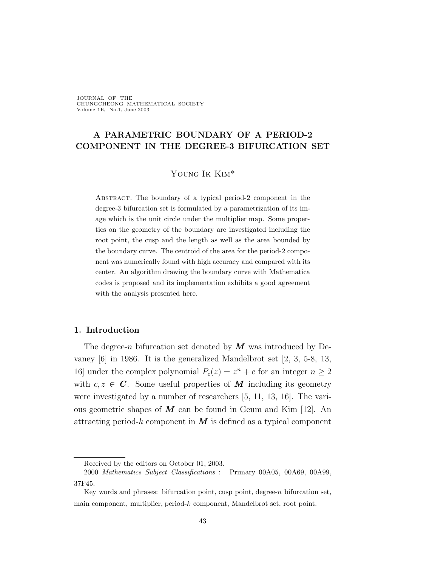JOURNAL OF THE CHUNGCHEONG MATHEMATICAL SOCIETY Volume 16, No.1, June 2003

# A PARAMETRIC BOUNDARY OF A PERIOD-2 COMPONENT IN THE DEGREE-3 BIFURCATION SET

## Young Ik Kim\*

ABSTRACT. The boundary of a typical period-2 component in the degree-3 bifurcation set is formulated by a parametrization of its image which is the unit circle under the multiplier map. Some properties on the geometry of the boundary are investigated including the root point, the cusp and the length as well as the area bounded by the boundary curve. The centroid of the area for the period-2 component was numerically found with high accuracy and compared with its center. An algorithm drawing the boundary curve with Mathematica codes is proposed and its implementation exhibits a good agreement with the analysis presented here.

## 1. Introduction

The degree-n bifurcation set denoted by  $M$  was introduced by Devaney [6] in 1986. It is the generalized Mandelbrot set [2, 3, 5-8, 13, 16] under the complex polynomial  $P_c(z) = z^n + c$  for an integer  $n \ge 2$ with  $c, z \in \mathbb{C}$ . Some useful properties of M including its geometry were investigated by a number of researchers [5, 11, 13, 16]. The various geometric shapes of  $M$  can be found in Geum and Kim [12]. An attracting period-k component in  $M$  is defined as a typical component

Received by the editors on October 01, 2003.

<sup>2000</sup> Mathematics Subject Classifications : Primary 00A05, 00A69, 00A99, 37F45.

Key words and phrases: bifurcation point, cusp point, degree- $n$  bifurcation set, main component, multiplier, period-k component, Mandelbrot set, root point.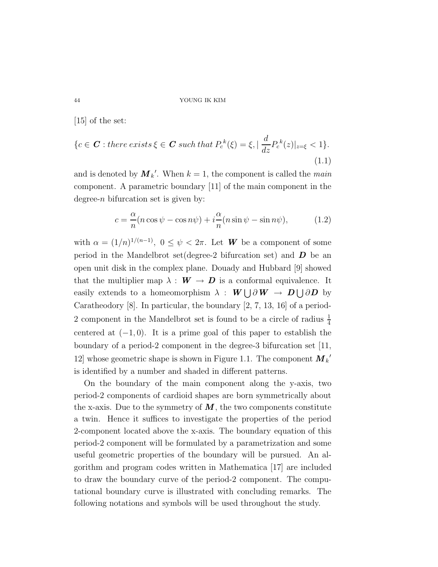$|15|$  of the set:

$$
\{c \in \mathbf{C} : \text{there exists } \xi \in \mathbf{C} \text{ such that } P_c^{\ k}(\xi) = \xi, |\frac{d}{dz} P_c^{\ k}(z)|_{z=\xi} < 1\}. \tag{1.1}
$$

and is denoted by  $\boldsymbol{M}_k'$ . When  $k = 1$ , the component is called the *main* component. A parametric boundary [11] of the main component in the degree-n bifurcation set is given by:

$$
c = -\frac{\alpha}{n}(n\cos\psi - \cos n\psi) + i\frac{\alpha}{n}(n\sin\psi - \sin n\psi),
$$
 (1.2)

with  $\alpha = (1/n)^{1/(n-1)}$ ,  $0 \le \psi < 2\pi$ . Let **W** be a component of some period in the Mandelbrot set (degree-2 bifurcation set) and  $\boldsymbol{D}$  be an open unit disk in the complex plane. Douady and Hubbard [9] showed that the multiplier map  $\lambda : \mathbf{W} \to \mathbf{D}$  is a conformal equivalence. It easily extends to a homeomorphism  $\lambda$  :  $\mathbf{W} \cup \partial \mathbf{W} \to \mathbf{D} \cup \partial \mathbf{D}$  by Caratheodory [8]. In particular, the boundary [2, 7, 13, 16] of a period-2 component in the Mandelbrot set is found to be a circle of radius  $\frac{1}{4}$ centered at  $(-1, 0)$ . It is a prime goal of this paper to establish the boundary of a period-2 component in the degree-3 bifurcation set [11, 12] whose geometric shape is shown in Figure 1.1. The component  $\boldsymbol{M}_{k}{}'$ is identified by a number and shaded in different patterns.

On the boundary of the main component along the y-axis, two period-2 components of cardioid shapes are born symmetrically about the x-axis. Due to the symmetry of  $M$ , the two components constitute a twin. Hence it suffices to investigate the properties of the period 2-component located above the x-axis. The boundary equation of this period-2 component will be formulated by a parametrization and some useful geometric properties of the boundary will be pursued. An algorithm and program codes written in Mathematica [17] are included to draw the boundary curve of the period-2 component. The computational boundary curve is illustrated with concluding remarks. The following notations and symbols will be used throughout the study.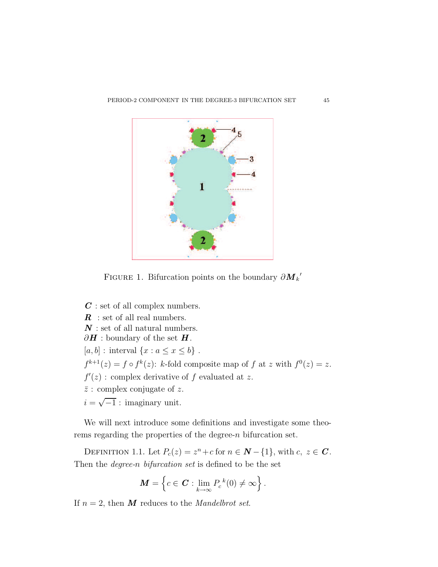

FIGURE 1. Bifurcation points on the boundary  $\partial M_{k}^{\prime}$ 

C : set of all complex numbers.  $R$ : set of all real numbers.  $N$ : set of all natural numbers.  $\partial H$  : boundary of the set  $H$ . [a, b] : interval  $\{x : a \leq x \leq b\}$ .  $f^{k+1}(z) = f \circ f^k(z)$ : k-fold composite map of f at z with  $f^0(z) = z$ .  $f'(z)$ : complex derivative of f evaluated at z.  $\bar{z}$ : complex conjugate of z.  $i = \sqrt{-1}$ : imaginary unit.

We will next introduce some definitions and investigate some theorems regarding the properties of the degree-n bifurcation set.

DEFINITION 1.1. Let  $P_c(z) = z^n + c$  for  $n \in \mathbb{N} - \{1\}$ , with  $c, z \in \mathbb{C}$ . Then the *degree-*n *bifurcation set* is defined to be the set

$$
\mathbf{M} = \left\{ c \in \mathbf{C} : \lim_{k \to \infty} P_c^{\ k}(0) \neq \infty \right\}.
$$

If  $n = 2$ , then *M* reduces to the *Mandelbrot set*.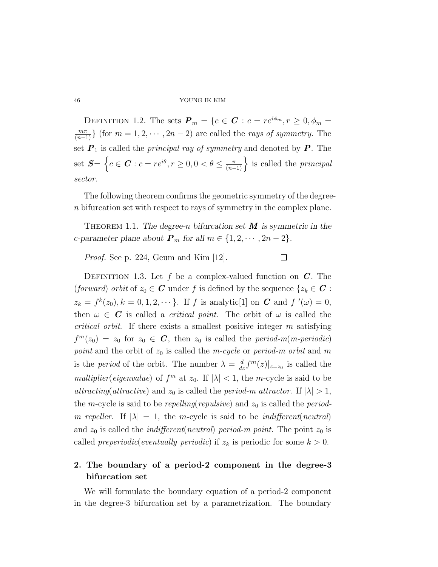DEFINITION 1.2. The sets  $P_m = \{c \in \mathbf{C} : c = re^{i\phi_m}, r \geq 0, \phi_m =$  $\frac{m\pi}{(n-1)}$  (for  $m = 1, 2, \cdots, 2n - 2$ ) are called the *rays of symmetry*. The set  $P_1$  is called the *principal ray of symmetry* and denoted by  $P$ . The set  $S = \left\{c \in \mathbf{C} : c = re^{i\theta}, r \ge 0, 0 < \theta \le \frac{\pi}{(n-1)}\right\}$  is called the *principal sector*.

The following theorem confirms the geometric symmetry of the degreen bifurcation set with respect to rays of symmetry in the complex plane.

Theorem 1.1. *The degree-*n *bifurcation set* M *is symmetric in the c*-parameter plane about  $P_m$  for all  $m \in \{1, 2, \dots, 2n - 2\}$ .

 $\Box$ 

*Proof.* See p. 224, Geum and Kim [12].

DEFINITION 1.3. Let f be a complex-valued function on  $C$ . The (*forward*) *orbit* of  $z_0 \in \mathbb{C}$  under f is defined by the sequence  $\{z_k \in \mathbb{C}$ :  $z_k = f^k(z_0), k = 0, 1, 2, \cdots$ }. If f is analytic[1] on  $C$  and  $f'(\omega) = 0$ , then  $\omega \in \mathbf{C}$  is called a *critical point*. The orbit of  $\omega$  is called the *critical orbit*. If there exists a smallest positive integer m satisfying  $f^{m}(z_0) = z_0$  for  $z_0 \in C$ , then  $z_0$  is called the *period-m*(*m-periodic*) *point* and the orbit of  $z_0$  is called the *m-cycle* or *period-m orbit* and *m* is the *period* of the orbit. The number  $\lambda = \frac{d}{dz} f^{m}(z)|_{z=z_0}$  is called the *multiplier*(*eigenvalue*) of  $f^m$  at  $z_0$ . If  $|\lambda| < 1$ , the *m*-cycle is said to be *attracting*(*attractive*) and  $z_0$  is called the *period-m attractor*. If  $|\lambda| > 1$ , the *m*-cycle is said to be *repelling*(*repulsive*) and  $z_0$  is called the *periodm repeller.* If  $|\lambda| = 1$ , the *m*-cycle is said to be *indifferent*(*neutral*) and  $z_0$  is called the *indifferent*(*neutral*) *period-m point*. The point  $z_0$  is called *preperiodic*(*eventually periodic*) if  $z_k$  is periodic for some  $k > 0$ .

## 2. The boundary of a period-2 component in the degree-3 bifurcation set

We will formulate the boundary equation of a period-2 component in the degree-3 bifurcation set by a parametrization. The boundary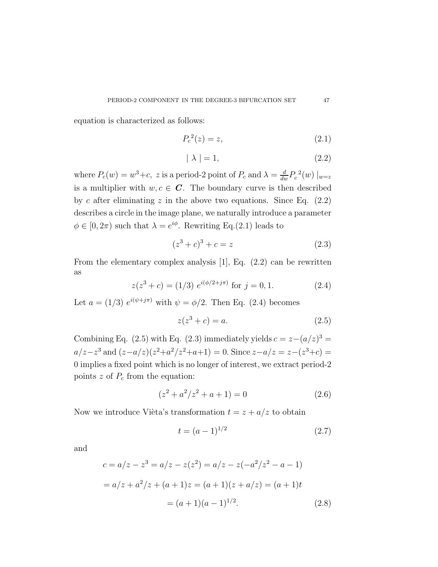equation is characterized as follows:

$$
P_c^2(z) = z,\t\t(2.1)
$$

$$
|\lambda| = 1,\tag{2.2}
$$

where  $P_c(w) = w^3 + c$ , z is a period-2 point of  $P_c$  and  $\lambda = \frac{d}{dw} P_c^2(w) |_{w=z}$ is a multiplier with  $w, c \in \mathbb{C}$ . The boundary curve is then described by c after eliminating  $z$  in the above two equations. Since Eq.  $(2.2)$ describes a circle in the image plane, we naturally introduce a parameter  $\phi \in [0, 2\pi)$  such that  $\lambda = e^{i\phi}$ . Rewriting Eq.(2.1) leads to

$$
(z3 + c)3 + c = z
$$
 (2.3)

From the elementary complex analysis [1], Eq. (2.2) can be rewritten as

$$
z(z3 + c) = (1/3) ei(\phi/2 + j\pi) \text{ for } j = 0, 1.
$$
 (2.4)

Let  $a = (1/3) e^{i(\psi + j\pi)}$  with  $\psi = \phi/2$ . Then Eq. (2.4) becomes

$$
z(z^3 + c) = a.
$$
 (2.5)

Combining Eq. (2.5) with Eq. (2.3) immediately yields  $c = z - (a/z)^3 =$  $a/z - z^3$  and  $(z-a/z)(z^2+a^2/z^2+a+1) = 0$ . Since  $z-a/z = z-(z^3+c) =$ 0 implies a fixed point which is no longer of interest, we extract period-2 points  $z$  of  $P_c$  from the equation:

$$
(z2 + a2/z2 + a + 1) = 0
$$
 (2.6)

Now we introduce Vièta's transformation  $t = z + a/z$  to obtain

$$
t = (a - 1)^{1/2} \tag{2.7}
$$

and

$$
c = a/z - z3 = a/z - z(z2) = a/z - z(-a2/z2 - a - 1)
$$
  
= a/z + a<sup>2</sup>/z + (a + 1)z = (a + 1)(z + a/z) = (a + 1)t  
= (a + 1)(a - 1)<sup>1/2</sup>. (2.8)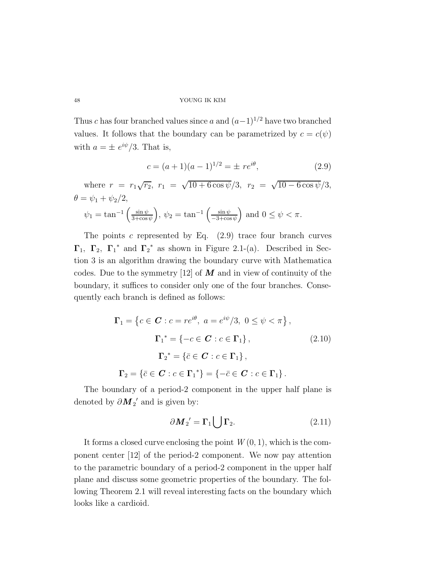Thus c has four branched values since a and  $(a-1)^{1/2}$  have two branched values. It follows that the boundary can be parametrized by  $c = c(\psi)$ with  $a = \pm e^{i\psi}/3$ . That is,

$$
c = (a+1)(a-1)^{1/2} = \pm r e^{i\theta}, \tag{2.9}
$$

where  $r = r_1\sqrt{r_2}$ ,  $r_1 = \sqrt{10 + 6\cos\psi}/3$ ,  $r_2 = \sqrt{10 - 6\cos\psi}/3$ ,  $\theta = \psi_1 + \psi_2/2$ ,  $\psi_1 = \tan^{-1} \left( \frac{\sin \psi}{3 + \cos \psi} \right)$  $\left(\frac{\sin\psi}{3+\cos\psi}\right),\,\psi_2=\tan^{-1}\left(\frac{\sin\psi}{-3+\cos\psi}\right)$  $-3+\cos\psi$ ) and  $0 \leq \psi < \pi$ .

The points c represented by Eq.  $(2.9)$  trace four branch curves  $\Gamma_1$ ,  $\Gamma_2$ ,  $\Gamma_1^*$  and  $\Gamma_2^*$  as shown in Figure 2.1-(a). Described in Section 3 is an algorithm drawing the boundary curve with Mathematica codes. Due to the symmetry  $[12]$  of  $M$  and in view of continuity of the boundary, it suffices to consider only one of the four branches. Consequently each branch is defined as follows:

$$
\Gamma_1 = \{c \in \mathbf{C} : c = re^{i\theta}, \ a = e^{i\psi}/3, \ 0 \le \psi < \pi\},\
$$
\n
$$
\Gamma_1^* = \{-c \in \mathbf{C} : c \in \Gamma_1\},\
$$
\n
$$
\Gamma_2^* = \{\bar{c} \in \mathbf{C} : c \in \Gamma_1\},\
$$
\n
$$
\Gamma_2 = \{\bar{c} \in \mathbf{C} : c \in \Gamma_1^*\} = \{-\bar{c} \in \mathbf{C} : c \in \Gamma_1\}.
$$
\n
$$
(2.10)
$$

The boundary of a period-2 component in the upper half plane is denoted by  $\partial \mathbf{M}_2'$  and is given by:

$$
\partial \mathbf{M}_2' = \Gamma_1 \bigcup \Gamma_2. \tag{2.11}
$$

It forms a closed curve enclosing the point  $W(0, 1)$ , which is the component center [12] of the period-2 component. We now pay attention to the parametric boundary of a period-2 component in the upper half plane and discuss some geometric properties of the boundary. The following Theorem 2.1 will reveal interesting facts on the boundary which looks like a cardioid.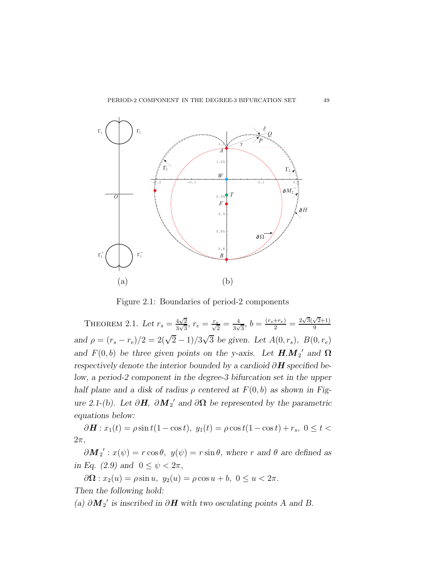

Figure 2.1: Boundaries of period-2 components

THEOREM 2.1. Let  $r_s = \frac{4\sqrt{2}}{3\sqrt{3}}$  $\frac{4\sqrt{2}}{3\sqrt{3}},\,r_{e}=\frac{r_{s}}{\sqrt{2}}=\frac{4}{3\sqrt{2}}$  $\frac{4}{3\sqrt{3}}, b = \frac{(r_s+r_e)}{2} = \frac{2\sqrt{3}(\sqrt{2}+1)}{9}$ 9 *and*  $\rho = (r_s - r_e)/2 = 2(\sqrt{2} - 1)/3\sqrt{3}$  *be given. Let*  $A(0, r_s)$ ,  $B(0, r_e)$ and  $F(0, b)$  be three given points on the y-axis. Let  $H, M_2'$  and  $\Omega$ *respectively denote the interior bounded by a cardioid* ∂*H specified below, a period-2 component in the degree-3 bifurcation set in the upper half plane and a disk of radius*  $\rho$  *centered at*  $F(0, b)$  *as shown in Figure* 2.1-(*b*). Let  $\partial$ **H**,  $\partial$ **M**<sub>2</sub><sup>'</sup> and  $\partial$ **Ω** *be represented by the parametric equations below:*

 $\partial$ **H** :  $x_1(t) = \rho \sin t (1 - \cos t), y_1(t) = \rho \cos t (1 - \cos t) + r_s, 0 \le t <$  $2\pi$ ,

 $\partial M_2$ ':  $x(\psi) = r \cos \theta$ ,  $y(\psi) = r \sin \theta$ , where r and  $\theta$  are defined as *in Eq. (2.9)* and  $0 \le \psi < 2\pi$ ,

 $\partial \Omega : x_2(u) = \rho \sin u, \ y_2(u) = \rho \cos u + b, \ 0 \le u \le 2\pi.$ *Then the following hold:*

 $(a)$  ∂ $M_2'$  is inscribed in ∂*H* with two osculating points A and B.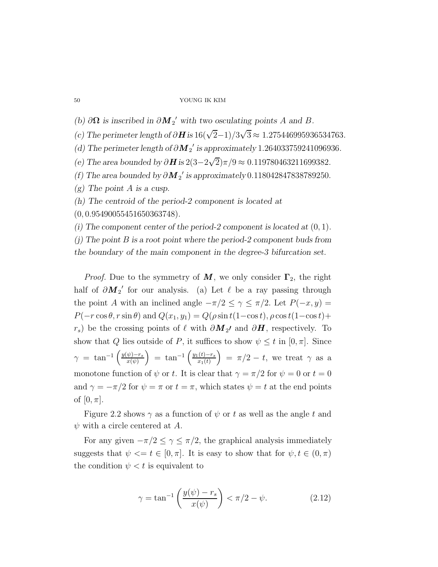$\partial$  *(b)*  $\partial$  $\Omega$  *is inscribed in*  $\partial$ *M*<sub>2</sub><sup> $\prime$ </sup> *with two osculating points A* and *B*.

(c) The perimeter length of  $\partial$ **H** is 16( $\sqrt{2}$ -1)/3 $\sqrt{3}$  ≈ 1.275446995936534763*.* 

(d) The perimeter length of  $\partial M_2'$  is approximately 1.264033759241096936.

(*e*) The area bounded by  $\partial$ **H** is 2(3−2 $\sqrt{2}$ )π/9 ≈ 0.119780463211699382.

(f) The area bounded by  $\partial M_2'$  is approximately 0.118042847838789250.

*(g) The point* A *is a cusp.*

*(h) The centroid of the period-2 component is located at*

(0, 0.95490055451650363748)*.*

*(i) The component center of the period-2 component is located at* (0, 1)*.*

*(j) The point* B *is a root point where the period-2 component buds from the boundary of the main component in the degree-3 bifurcation set.*

*Proof.* Due to the symmetry of  $M$ , we only consider  $\Gamma_2$ , the right half of  $\partial M_2'$  for our analysis. (a) Let  $\ell$  be a ray passing through the point A with an inclined angle  $-\pi/2 \leq \gamma \leq \pi/2$ . Let  $P(-x, y) =$  $P(-r\cos\theta, r\sin\theta)$  and  $Q(x_1, y_1) = Q(\rho\sin t(1-\cos t), \rho\cos t(1-\cos t)+$  $r_s$ ) be the crossing points of  $\ell$  with  $\partial M_{2'}$  and  $\partial H$ , respectively. To show that Q lies outside of P, it suffices to show  $\psi \leq t$  in  $[0, \pi]$ . Since  $\gamma = \tan^{-1}\left(\frac{y(\psi)-r_s}{x(\psi)}\right) = \tan^{-1}\left(\frac{y_1(t)-r_s}{x_1(t)}\right) = \pi/2 - t$ , we treat  $\gamma$  as a monotone function of  $\psi$  or t. It is clear that  $\gamma = \pi/2$  for  $\psi = 0$  or  $t = 0$ and  $\gamma = -\pi/2$  for  $\psi = \pi$  or  $t = \pi$ , which states  $\psi = t$  at the end points of  $[0, \pi]$ .

Figure 2.2 shows  $\gamma$  as a function of  $\psi$  or t as well as the angle t and  $\psi$  with a circle centered at A.

For any given  $-\pi/2 \leq \gamma \leq \pi/2$ , the graphical analysis immediately suggests that  $\psi \leq t \in [0, \pi]$ . It is easy to show that for  $\psi, t \in (0, \pi)$ the condition  $\psi < t$  is equivalent to

$$
\gamma = \tan^{-1}\left(\frac{y(\psi) - r_s}{x(\psi)}\right) < \pi/2 - \psi. \tag{2.12}
$$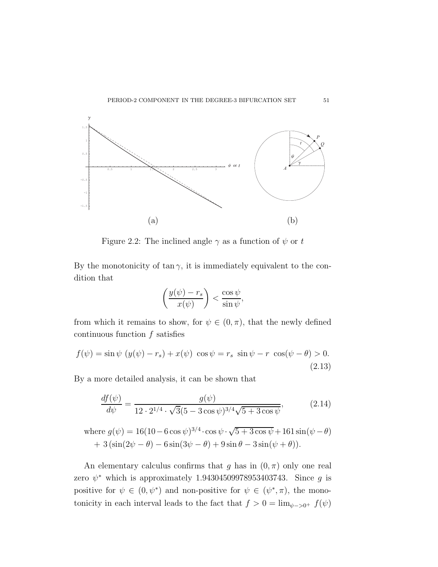

Figure 2.2: The inclined angle  $\gamma$  as a function of  $\psi$  or t

By the monotonicity of  $\tan \gamma$ , it is immediately equivalent to the condition that

$$
\left(\frac{y(\psi) - r_s}{x(\psi)}\right) < \frac{\cos\psi}{\sin\psi},
$$

from which it remains to show, for  $\psi \in (0, \pi)$ , that the newly defined continuous function  $f$  satisfies

$$
f(\psi) = \sin \psi \left( y(\psi) - r_s \right) + x(\psi) \cos \psi = r_s \sin \psi - r \cos(\psi - \theta) > 0. \tag{2.13}
$$

By a more detailed analysis, it can be shown that

$$
\frac{df(\psi)}{d\psi} = \frac{g(\psi)}{12 \cdot 2^{1/4} \cdot \sqrt{3}(5 - 3\cos\psi)^{3/4}\sqrt{5 + 3\cos\psi}},\tag{2.14}
$$

where 
$$
g(\psi) = 16(10 - 6 \cos \psi)^{3/4} \cdot \cos \psi \cdot \sqrt{5 + 3 \cos \psi} + 161 \sin(\psi - \theta)
$$
  
+  $3(\sin(2\psi - \theta) - 6\sin(3\psi - \theta) + 9\sin \theta - 3\sin(\psi + \theta)).$ 

An elementary calculus confirms that q has in  $(0, \pi)$  only one real zero  $\psi^*$  which is approximately 1.94304509978953403743. Since g is positive for  $\psi \in (0, \psi^*)$  and non-positive for  $\psi \in (\psi^*, \pi)$ , the monotonicity in each interval leads to the fact that  $f > 0 = \lim_{\psi \to 0^+} f(\psi)$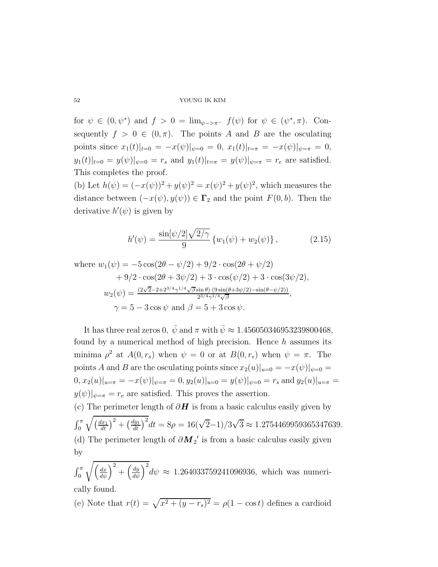for  $\psi \in (0, \psi^*)$  and  $f > 0 = \lim_{\psi \to \pi^-} f(\psi)$  for  $\psi \in (\psi^*, \pi)$ . Consequently  $f > 0 \in (0, \pi)$ . The points A and B are the osculating points since  $x_1(t)|_{t=0} = -x(\psi)|_{\psi=0} = 0$ ,  $x_1(t)|_{t=\pi} = -x(\psi)|_{\psi=\pi} = 0$ ,  $y_1(t)|_{t=0} = y(\psi)|_{\psi=0} = r_s$  and  $y_1(t)|_{t=\pi} = y(\psi)|_{\psi=\pi} = r_e$  are satisfied. This completes the proof.

(b) Let  $h(\psi) = (-x(\psi))^2 + y(\psi)^2 = x(\psi)^2 + y(\psi)^2$ , which measures the distance between  $(-x(\psi), y(\psi)) \in \Gamma_2$  and the point  $F(0, b)$ . Then the derivative  $h'(\psi)$  is given by

$$
h'(\psi) = \frac{\sin[\psi/2]\sqrt{2/\gamma}}{9} \left\{ w_1(\psi) + w_2(\psi) \right\},\tag{2.15}
$$

where 
$$
w_1(\psi) = -5 \cos(2\theta - \psi/2) + 9/2 \cdot \cos(2\theta + \psi/2)
$$
  
  $+ 9/2 \cdot \cos(2\theta + 3\psi/2) + 3 \cdot \cos(\psi/2) + 3 \cdot \cos(3\psi/2),$   
\n $w_2(\psi) = \frac{(2\sqrt{2}-2+2^{3/4}\gamma^{1/4}\sqrt{\beta}\sin\theta) \cdot (9\sin(\theta+3\psi/2) - \sin(\theta-\psi/2))}{2^{3/4}\gamma^{1/4}\sqrt{\beta}},$   
\n $\gamma = 5 - 3 \cos \psi$  and  $\beta = 5 + 3 \cos \psi$ .

It has three real zeros 0,  $\bar{\psi}$  and  $\pi$  with  $\bar{\psi} \approx 1.456050346953239800468$ , found by a numerical method of high precision. Hence  $h$  assumes its minima  $\rho^2$  at  $A(0, r_s)$  when  $\psi = 0$  or at  $B(0, r_e)$  when  $\psi = \pi$ . The points A and B are the osculating points since  $x_2(u)|_{u=0} = -x(v)|_{v=0} =$  $(0, x_2(u)|_{u=\pi} = -x(\psi)|_{\psi=\pi} = 0, y_2(u)|_{u=0} = y(\psi)|_{\psi=0} = r_s$  and  $y_2(u)|_{u=\pi} = -x(u)|_{\psi=\pi} = 0$  $y(\psi)|_{\psi=\pi} = r_e$  are satisfied. This proves the assertion.

(c) The perimeter length of  $\partial H$  is from a basic calculus easily given by  $\int_0^{\pi} \sqrt{\left(\frac{dx_1}{dt}\right)^2 + \left(\frac{dy_1}{dt}\right)^2} dt = 8\rho = 16(\sqrt{2}-1)/3\sqrt{3} \approx 1.2754469959365347639.$ (d) The perimeter length of  $\partial M_2'$  is from a basic calculus easily given by

 $\int_0^{\pi} \sqrt{\left(\frac{dx}{d\psi}\right)^2 + \left(\frac{dy}{d\psi}\right)^2} d\psi \approx 1.264033759241096936$ , which was numerically found.

(e) Note that  $r(t) = \sqrt{x^2 + (y - r_s)^2} = \rho(1 - \cos t)$  defines a cardioid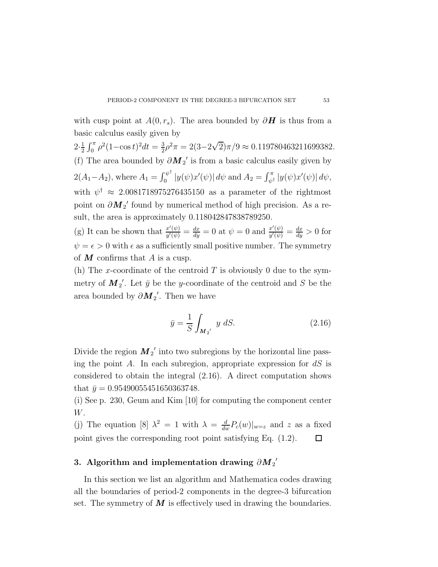with cusp point at  $A(0, r_s)$ . The area bounded by  $\partial H$  is thus from a basic calculus easily given by

 $2 \cdot \frac{1}{2}$  $\frac{1}{2} \int_0^{\pi} \rho^2 (1-\cos t)^2 dt = \frac{3}{2}$  $\frac{3}{2}\rho^2 \pi = 2(3-2\sqrt{2})\pi/9 \approx 0.119780463211699382.$ (f) The area bounded by  $\partial M_2'$  is from a basic calculus easily given by  $2(A_1 - A_2)$ , where  $A_1 = \int_0^{\psi^{\dagger}}$  $\int_0^{\psi^{\dagger}} |y(\psi)x'(\psi)| d\psi$  and  $A_2 = \int_{\psi^{\dagger}}^{\pi} |y(\psi)x'(\psi)| d\psi$ , with  $\psi^{\dagger} \approx 2.0081718975276435150$  as a parameter of the rightmost point on  $\partial M_2'$  found by numerical method of high precision. As a result, the area is approximately 0.118042847838789250.

(g) It can be shown that  $\frac{x'(\psi)}{y'(\psi)}$  $\frac{x'(\psi)}{y'(\psi)} = \frac{dx}{dy} = 0$  at  $\psi = 0$  and  $\frac{x'(\psi)}{y'(\psi)}$  $\frac{x'(\psi)}{y'(\psi)} = \frac{dx}{dy} > 0$  for  $\psi = \epsilon > 0$  with  $\epsilon$  as a sufficiently small positive number. The symmetry of  $M$  confirms that  $A$  is a cusp.

(h) The x-coordinate of the centroid T is obviously 0 due to the symmetry of  $\boldsymbol{M}_2'$ . Let  $\bar{y}$  be the y-coordinate of the centroid and S be the area bounded by  $\partial M_2'$ . Then we have

$$
\bar{y} = \frac{1}{S} \int_{M_2'} y \, dS. \tag{2.16}
$$

Divide the region  $M_2'$  into two subregions by the horizontal line passing the point A. In each subregion, appropriate expression for  $dS$  is considered to obtain the integral (2.16). A direct computation shows that  $\bar{y} = 0.95490055451650363748$ .

(i) See p. 230, Geum and Kim [10] for computing the component center W.

(j) The equation [8]  $\lambda^2 = 1$  with  $\lambda = \frac{d}{dw} P_c(w)|_{w=z}$  and z as a fixed point gives the corresponding root point satisfying Eq. (1.2).  $\Box$ 

# 3. Algorithm and implementation drawing  $\partial \overline{M}_2{}'$

In this section we list an algorithm and Mathematica codes drawing all the boundaries of period-2 components in the degree-3 bifurcation set. The symmetry of  $\boldsymbol{M}$  is effectively used in drawing the boundaries.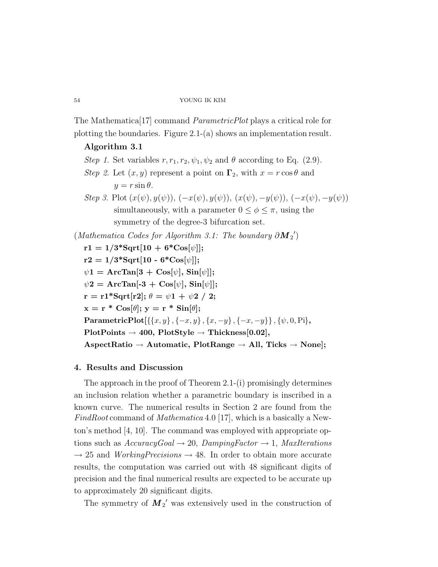The Mathematica[17] command *ParametricPlot* plays a critical role for plotting the boundaries. Figure 2.1-(a) shows an implementation result.

## Algorithm 3.1

- *Step 1*. Set variables  $r, r_1, r_2, \psi_1, \psi_2$  and  $\theta$  according to Eq. (2.9).
- *Step 2.* Let  $(x, y)$  represent a point on  $\Gamma_2$ , with  $x = r \cos \theta$  and  $y = r \sin \theta$ .
- *Step 3*. Plot  $(x(\psi), y(\psi))$ ,  $(-x(\psi), y(\psi))$ ,  $(x(\psi), -y(\psi))$ ,  $(-x(\psi), -y(\psi))$ simultaneously, with a parameter  $0 \leq \phi \leq \pi$ , using the symmetry of the degree-3 bifurcation set.

(*Mathematica Codes for Algorithm 3.1: The boundary* ∂M<sup>2</sup> ′ )  $r1 = 1/3*$ Sqrt $[10 + 6*$ Cos $[\psi]$ ];  $r2 = 1/3*Sqrt[10 - 6*Cos[\psi]];$  $\psi$ 1 = ArcTan[3 + Cos[ $\psi$ ], Sin[ $\psi$ ]];  $\psi$ 2 = ArcTan<sup>[-3</sup> + Cos[ $\psi$ ], Sin[ $\psi$ ]];  $r = r1*Sort[r2]; \theta = \psi 1 + \psi 2 / 2;$  $x = r * Cos[\theta]; y = r * Sin[\theta];$ ParametricPlot $\{\{x, y\}, \{-x, y\}, \{x, -y\}, \{-x, -y\}\}, \{\psi, 0, P\}$ ,  $PlotPoints \rightarrow 400, PlotStyle \rightarrow Thickness[0.02],$ AspectRatio  $\rightarrow$  Automatic, PlotRange  $\rightarrow$  All, Ticks  $\rightarrow$  None];

### 4. Results and Discussion

The approach in the proof of Theorem 2.1-(i) promisingly determines an inclusion relation whether a parametric boundary is inscribed in a known curve. The numerical results in Section 2 are found from the *FindRoot* command of *Mathematica* 4.0 [17], which is a basically a Newton's method [4, 10]. The command was employed with appropriate options such as  $AccuracyGoal \rightarrow 20$ ,  $DampingFactor \rightarrow 1$ ,  $MaxIterations$  $\rightarrow$  25 and *WorkingPrecisions*  $\rightarrow$  48. In order to obtain more accurate results, the computation was carried out with 48 significant digits of precision and the final numerical results are expected to be accurate up to approximately 20 significant digits.

The symmetry of  $M_2'$  was extensively used in the construction of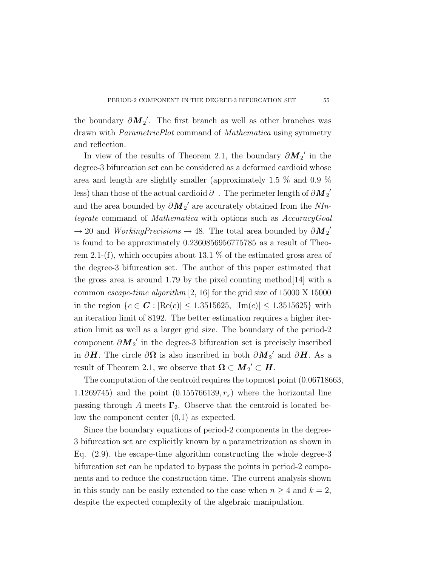the boundary  $\partial M_2'$ . The first branch as well as other branches was drawn with *ParametricPlot* command of *Mathematica* using symmetry and reflection.

In view of the results of Theorem 2.1, the boundary  $\partial M_2'$  in the degree-3 bifurcation set can be considered as a deformed cardioid whose area and length are slightly smaller (approximately 1.5 % and 0.9 % less) than those of the actual cardioid  $\partial$  . The perimeter length of  $\partial \bm{M}_2{}'$ and the area bounded by  $\partial M_2'$  are accurately obtained from the *NIntegrate* command of *Mathematica* with options such as *AccuracyGoal*  $\rightarrow$  20 and *WorkingPrecisions*  $\rightarrow$  48. The total area bounded by  $\partial M_2'$ is found to be approximately 0.2360856956775785 as a result of Theorem 2.1-(f), which occupies about 13.1 % of the estimated gross area of the degree-3 bifurcation set. The author of this paper estimated that the gross area is around 1.79 by the pixel counting method[14] with a common *escape-time algorithm* [2, 16] for the grid size of 15000 X 15000 in the region  ${c \in \mathbb{C} : |\text{Re}(c)| \leq 1.3515625, |\text{Im}(c)| \leq 1.3515625}$  with an iteration limit of 8192. The better estimation requires a higher iteration limit as well as a larger grid size. The boundary of the period-2 component  $\partial M_2'$  in the degree-3 bifurcation set is precisely inscribed in  $\partial H$ . The circle  $\partial \Omega$  is also inscribed in both  $\partial M_2'$  and  $\partial H$ . As a result of Theorem 2.1, we observe that  $\Omega \subset M_2' \subset H$ .

The computation of the centroid requires the topmost point (0.06718663, 1.1269745) and the point  $(0.155766139, r_s)$  where the horizontal line passing through A meets  $\Gamma_2$ . Observe that the centroid is located below the component center (0,1) as expected.

Since the boundary equations of period-2 components in the degree-3 bifurcation set are explicitly known by a parametrization as shown in Eq. (2.9), the escape-time algorithm constructing the whole degree-3 bifurcation set can be updated to bypass the points in period-2 components and to reduce the construction time. The current analysis shown in this study can be easily extended to the case when  $n \geq 4$  and  $k = 2$ , despite the expected complexity of the algebraic manipulation.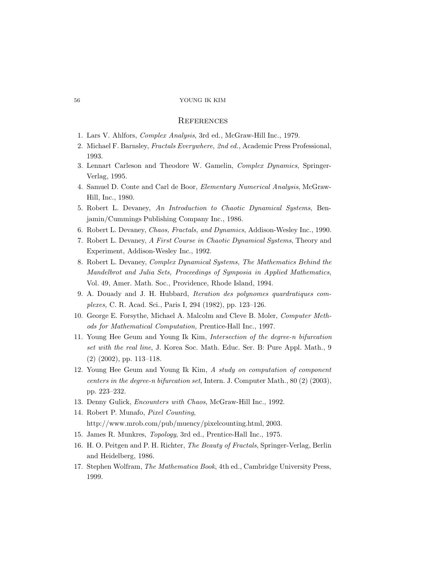#### **REFERENCES**

- 1. Lars V. Ahlfors, Complex Analysis, 3rd ed., McGraw-Hill Inc., 1979.
- 2. Michael F. Barnsley, Fractals Everywhere, 2nd ed., Academic Press Professional, 1993.
- 3. Lennart Carleson and Theodore W. Gamelin, Complex Dynamics, Springer-Verlag, 1995.
- 4. Samuel D. Conte and Carl de Boor, Elementary Numerical Analysis, McGraw-Hill, Inc., 1980.
- 5. Robert L. Devaney, An Introduction to Chaotic Dynamical Systems, Benjamin/Cummings Publishing Company Inc., 1986.
- 6. Robert L. Devaney, Chaos, Fractals, and Dynamics, Addison-Wesley Inc., 1990.
- 7. Robert L. Devaney, A First Course in Chaotic Dynamical Systems, Theory and Experiment, Addison-Wesley Inc., 1992.
- 8. Robert L. Devaney, Complex Dynamical Systems, The Mathematics Behind the Mandelbrot and Julia Sets, Proceedings of Symposia in Applied Mathematics, Vol. 49, Amer. Math. Soc., Providence, Rhode Island, 1994.
- 9. A. Douady and J. H. Hubbard, Iteration des polynomes quardratiques complexes, C. R. Acad. Sci., Paris I, 294 (1982), pp. 123–126.
- 10. George E. Forsythe, Michael A. Malcolm and Cleve B. Moler, Computer Methods for Mathematical Computation, Prentice-Hall Inc., 1997.
- 11. Young Hee Geum and Young Ik Kim, Intersection of the degree-n bifurcation set with the real line, J. Korea Soc. Math. Educ. Ser. B: Pure Appl. Math., 9 (2) (2002), pp. 113–118.
- 12. Young Hee Geum and Young Ik Kim, A study on computation of component centers in the degree-n bifurcation set, Intern. J. Computer Math., 80 (2) (2003), pp. 223–232.
- 13. Denny Gulick, Encounters with Chaos, McGraw-Hill Inc., 1992.
- 14. Robert P. Munafo, Pixel Counting, http://www.mrob.com/pub/muency/pixelcounting.html, 2003.
- 15. James R. Munkres, Topology, 3rd ed., Prentice-Hall Inc., 1975.
- 16. H. O. Peitgen and P. H. Richter, The Beauty of Fractals, Springer-Verlag, Berlin and Heidelberg, 1986.
- 17. Stephen Wolfram, The Mathematica Book, 4th ed., Cambridge University Press, 1999.